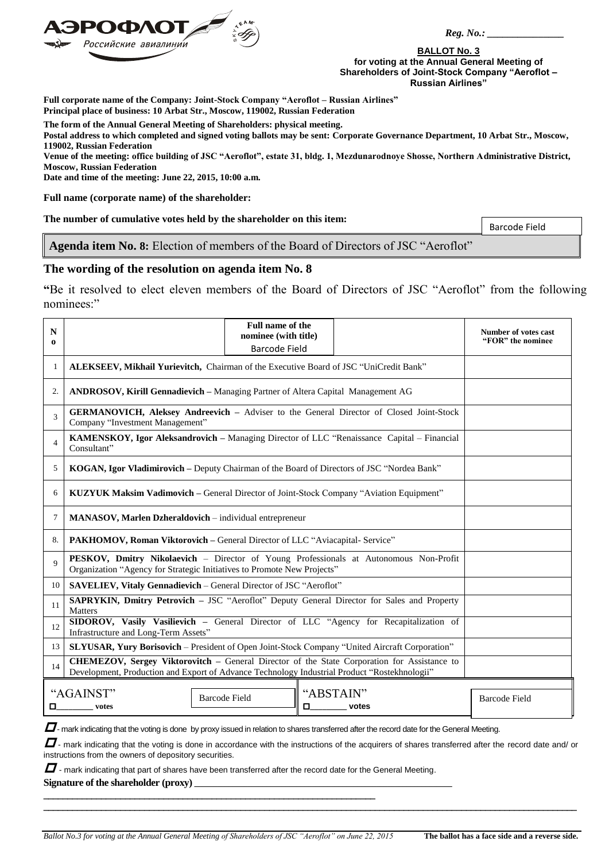

 *Reg. No.: \_\_\_\_\_\_\_\_\_\_\_\_\_\_\_*

**BALLOT No. 3 for voting at the Annual General Meeting of Shareholders of Joint-Stock Company "Aeroflot – Russian Airlines"**

**Full corporate name of the Company: Joint-Stock Company "Aeroflot – Russian Airlines" Principal place of business: 10 Arbat Str., Moscow, 119002, Russian Federation**

**The form of the Annual General Meeting of Shareholders: physical meeting.**

**Postal address to which completed and signed voting ballots may be sent: Corporate Governance Department, 10 Arbat Str., Moscow, 119002, Russian Federation**

**Venue of the meeting: office building of JSC "Aeroflot", estate 31, bldg. 1, Mezdunarodnoye Shosse, Northern Administrative District, Moscow, Russian Federation**

**Date and time of the meeting: June 22, 2015, 10:00 a.m.**

**Full name (corporate name) of the shareholder:**

**The number of cumulative votes held by the shareholder on this item:**

Barcode Field

**Agenda item No. 8:** Election of members of the Board of Directors of JSC "Aeroflot"

## **The wording of the resolution on agenda item No. 8**

**"**Be it resolved to elect eleven members of the Board of Directors of JSC "Aeroflot" from the following nominees:"

| N<br>$\Omega$                                                              |                                                                                                                                                                                             | Full name of the<br>nominee (with title)<br><b>Barcode Field</b> |  |  | <b>Number of votes cast</b><br>"FOR" the nominee |
|----------------------------------------------------------------------------|---------------------------------------------------------------------------------------------------------------------------------------------------------------------------------------------|------------------------------------------------------------------|--|--|--------------------------------------------------|
| -1                                                                         | ALEKSEEV, Mikhail Yurievitch, Chairman of the Executive Board of JSC "UniCredit Bank"                                                                                                       |                                                                  |  |  |                                                  |
| 2.                                                                         | <b>ANDROSOV, Kirill Gennadievich</b> – Managing Partner of Altera Capital Management AG                                                                                                     |                                                                  |  |  |                                                  |
| 3                                                                          | <b>GERMANOVICH, Aleksey Andreevich – Adviser to the General Director of Closed Joint-Stock</b><br>Company "Investment Management"                                                           |                                                                  |  |  |                                                  |
| $\overline{4}$                                                             | KAMENSKOY, Igor Aleksandrovich - Managing Director of LLC "Renaissance Capital - Financial<br>Consultant"                                                                                   |                                                                  |  |  |                                                  |
| 5                                                                          | KOGAN, Igor Vladimirovich – Deputy Chairman of the Board of Directors of JSC "Nordea Bank"                                                                                                  |                                                                  |  |  |                                                  |
| 6                                                                          | <b>KUZYUK Maksim Vadimovich – General Director of Joint-Stock Company "Aviation Equipment"</b>                                                                                              |                                                                  |  |  |                                                  |
| 7                                                                          | MANASOV, Marlen Dzheraldovich - individual entrepreneur                                                                                                                                     |                                                                  |  |  |                                                  |
| 8.                                                                         | PAKHOMOV, Roman Viktorovich - General Director of LLC "Aviacapital- Service"                                                                                                                |                                                                  |  |  |                                                  |
| $\mathbf Q$                                                                | PESKOV, Dmitry Nikolaevich - Director of Young Professionals at Autonomous Non-Profit<br>Organization "Agency for Strategic Initiatives to Promote New Projects"                            |                                                                  |  |  |                                                  |
| 10                                                                         | SAVELIEV, Vitaly Gennadievich - General Director of JSC "Aeroflot"                                                                                                                          |                                                                  |  |  |                                                  |
| 11                                                                         | <b>SAPRYKIN, Dmitry Petrovich - JSC "Aeroflot"</b> Deputy General Director for Sales and Property<br><b>Matters</b>                                                                         |                                                                  |  |  |                                                  |
| 12                                                                         | SIDOROV, Vasily Vasilievich - General Director of LLC "Agency for Recapitalization of<br>Infrastructure and Long-Term Assets"                                                               |                                                                  |  |  |                                                  |
| 13                                                                         | SLYUSAR, Yury Borisovich - President of Open Joint-Stock Company "United Aircraft Corporation"                                                                                              |                                                                  |  |  |                                                  |
| 14                                                                         | CHEMEZOV, Sergey Viktorovitch - General Director of the State Corporation for Assistance to<br>Development, Production and Export of Advance Technology Industrial Product "Rostekhnologii" |                                                                  |  |  |                                                  |
| "AGAINST"<br>"ABSTAIN"<br><b>Barcode Field</b><br>□<br>О<br>votes<br>votes |                                                                                                                                                                                             |                                                                  |  |  | <b>Barcode Field</b>                             |

 $\Box$  - mark indicating that the voting is done by proxy issued in relation to shares transferred after the record date for the General Meeting.

 $\Box$  mark indicating that the voting is done in accordance with the instructions of the acquirers of shares transferred after the record date and/ or instructions from the owners of depository securities.

**\_\_\_\_\_\_\_\_\_\_\_\_\_\_\_\_\_\_\_\_\_\_\_\_\_\_\_\_\_\_\_\_\_\_\_\_\_\_\_\_\_\_\_\_\_\_\_\_\_\_\_\_\_\_\_\_\_\_\_\_\_\_\_\_\_\_\_\_\_\_\_\_\_\_\_\_\_\_\_\_\_\_\_\_\_\_\_\_\_\_\_\_\_\_\_\_\_\_\_\_\_\_\_\_\_\_\_\_\_\_\_**

 $\boldsymbol{\varPi}$  - mark indicating that part of shares have been transferred after the record date for the General Meeting.

Signature of the shareholder (proxy)  $\overline{\phantom{a}}$ 

**\_\_\_\_\_\_\_\_\_\_\_\_\_\_\_\_\_\_\_\_\_\_\_\_\_\_\_\_\_\_\_\_\_\_\_\_\_\_\_\_\_\_\_\_\_\_\_\_\_\_\_\_\_\_\_\_\_\_\_\_\_\_\_\_\_\_\_\_\_**